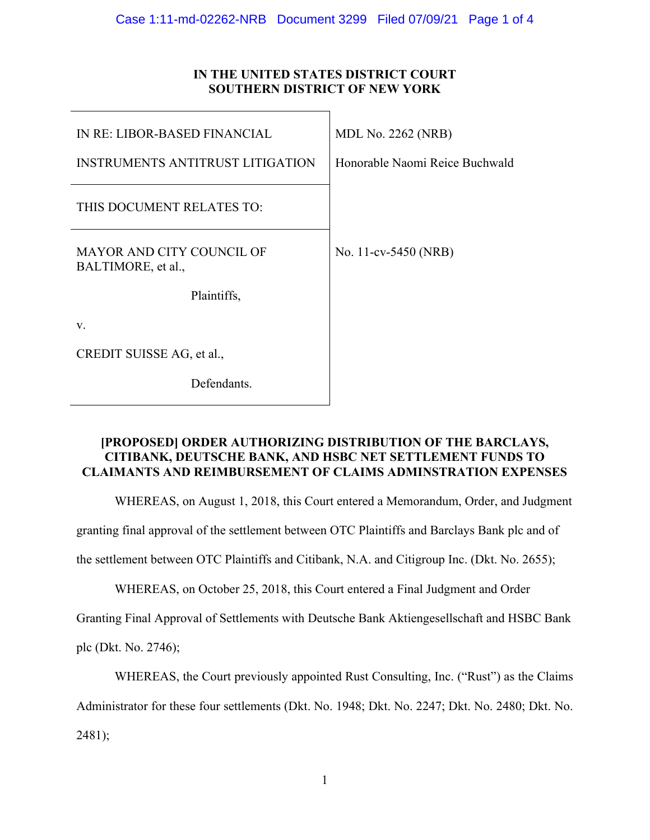# **IN THE UNITED STATES DISTRICT COURT SOUTHERN DISTRICT OF NEW YORK**

| IN RE: LIBOR-BASED FINANCIAL                           | <b>MDL No. 2262 (NRB)</b>      |
|--------------------------------------------------------|--------------------------------|
| <b>INSTRUMENTS ANTITRUST LITIGATION</b>                | Honorable Naomi Reice Buchwald |
| THIS DOCUMENT RELATES TO:                              |                                |
| <b>MAYOR AND CITY COUNCIL OF</b><br>BALTIMORE, et al., | No. 11-cv-5450 (NRB)           |
| Plaintiffs,                                            |                                |
| V.                                                     |                                |
| CREDIT SUISSE AG, et al.,                              |                                |
| Defendants.                                            |                                |

## **[PROPOSED] ORDER AUTHORIZING DISTRIBUTION OF THE BARCLAYS, CITIBANK, DEUTSCHE BANK, AND HSBC NET SETTLEMENT FUNDS TO CLAIMANTS AND REIMBURSEMENT OF CLAIMS ADMINSTRATION EXPENSES**

WHEREAS, on August 1, 2018, this Court entered a Memorandum, Order, and Judgment

granting final approval of the settlement between OTC Plaintiffs and Barclays Bank plc and of

the settlement between OTC Plaintiffs and Citibank, N.A. and Citigroup Inc. (Dkt. No. 2655);

WHEREAS, on October 25, 2018, this Court entered a Final Judgment and Order

Granting Final Approval of Settlements with Deutsche Bank Aktiengesellschaft and HSBC Bank

plc (Dkt. No. 2746);

WHEREAS, the Court previously appointed Rust Consulting, Inc. ("Rust") as the Claims

Administrator for these four settlements (Dkt. No. 1948; Dkt. No. 2247; Dkt. No. 2480; Dkt. No.

2481);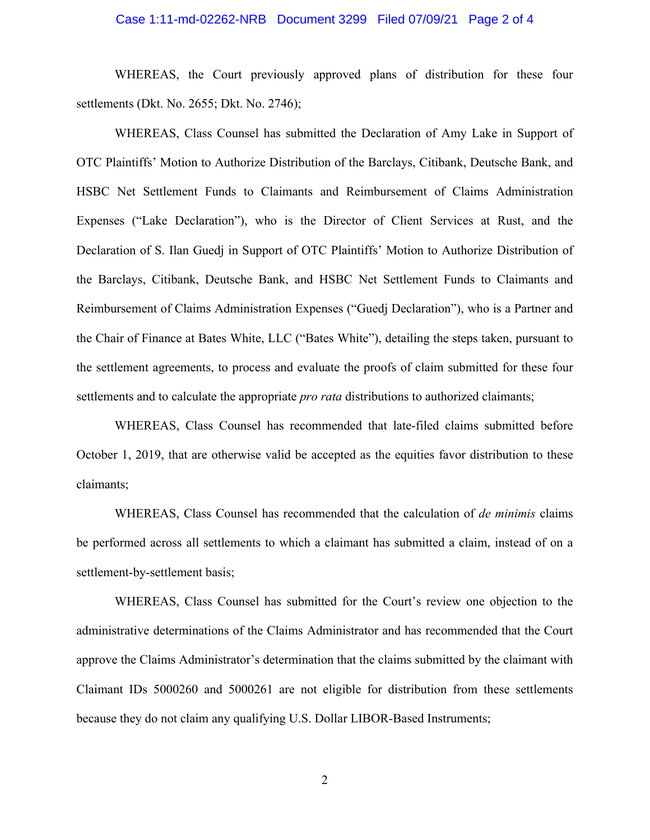### Case 1:11-md-02262-NRB Document 3299 Filed 07/09/21 Page 2 of 4

 WHEREAS, the Court previously approved plans of distribution for these four settlements (Dkt. No. 2655; Dkt. No. 2746);

 WHEREAS, Class Counsel has submitted the Declaration of Amy Lake in Support of OTC Plaintiffs' Motion to Authorize Distribution of the Barclays, Citibank, Deutsche Bank, and HSBC Net Settlement Funds to Claimants and Reimbursement of Claims Administration Expenses ("Lake Declaration"), who is the Director of Client Services at Rust, and the Declaration of S. Ilan Guedj in Support of OTC Plaintiffs' Motion to Authorize Distribution of the Barclays, Citibank, Deutsche Bank, and HSBC Net Settlement Funds to Claimants and Reimbursement of Claims Administration Expenses ("Guedj Declaration"), who is a Partner and the Chair of Finance at Bates White, LLC ("Bates White"), detailing the steps taken, pursuant to the settlement agreements, to process and evaluate the proofs of claim submitted for these four settlements and to calculate the appropriate *pro rata* distributions to authorized claimants;

 WHEREAS, Class Counsel has recommended that late-filed claims submitted before October 1, 2019, that are otherwise valid be accepted as the equities favor distribution to these claimants;

 WHEREAS, Class Counsel has recommended that the calculation of *de minimis* claims be performed across all settlements to which a claimant has submitted a claim, instead of on a settlement-by-settlement basis;

WHEREAS, Class Counsel has submitted for the Court's review one objection to the administrative determinations of the Claims Administrator and has recommended that the Court approve the Claims Administrator's determination that the claims submitted by the claimant with Claimant IDs 5000260 and 5000261 are not eligible for distribution from these settlements because they do not claim any qualifying U.S. Dollar LIBOR-Based Instruments;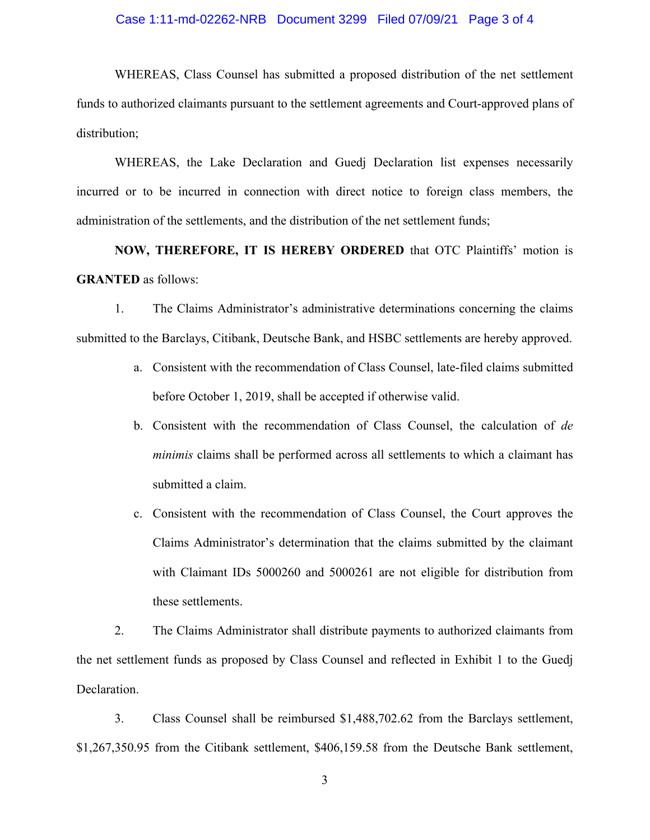### Case 1:11-md-02262-NRB Document 3299 Filed 07/09/21 Page 3 of 4

WHEREAS, Class Counsel has submitted a proposed distribution of the net settlement funds to authorized claimants pursuant to the settlement agreements and Court-approved plans of distribution;

 WHEREAS, the Lake Declaration and Guedj Declaration list expenses necessarily incurred or to be incurred in connection with direct notice to foreign class members, the administration of the settlements, and the distribution of the net settlement funds;

 **NOW, THEREFORE, IT IS HEREBY ORDERED** that OTC Plaintiffs' motion is **GRANTED** as follows:

1. The Claims Administrator's administrative determinations concerning the claims submitted to the Barclays, Citibank, Deutsche Bank, and HSBC settlements are hereby approved.

- a. Consistent with the recommendation of Class Counsel, late-filed claims submitted before October 1, 2019, shall be accepted if otherwise valid.
- b. Consistent with the recommendation of Class Counsel, the calculation of *de minimis* claims shall be performed across all settlements to which a claimant has submitted a claim.
- c. Consistent with the recommendation of Class Counsel, the Court approves the Claims Administrator's determination that the claims submitted by the claimant with Claimant IDs 5000260 and 5000261 are not eligible for distribution from these settlements.

2. The Claims Administrator shall distribute payments to authorized claimants from the net settlement funds as proposed by Class Counsel and reflected in Exhibit 1 to the Guedj Declaration.

3. Class Counsel shall be reimbursed \$1,488,702.62 from the Barclays settlement, \$1,267,350.95 from the Citibank settlement, \$406,159.58 from the Deutsche Bank settlement,

3